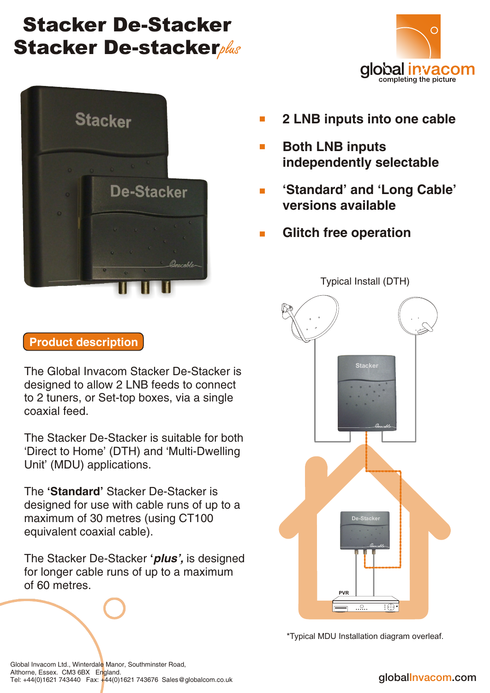# Stacker De-Stacker **Stacker De-stackerplus**





- **2 LNB inputs into one cable**  $\overline{\mathbb{R}^n}$
- **Both LNB inputs**   $\mathcal{L}_{\mathcal{A}}$  **independently selectable**
- **'Standard' and 'Long Cable'**   $\mathcal{L}_{\mathcal{A}}$  **versions available**
- **Glitch free operation**  $\mathbf{r}$



\*Typical MDU Installation diagram overleaf.

## **Product description**

The Global Invacom Stacker De-Stacker is designed to allow 2 LNB feeds to connect to 2 tuners, or Set-top boxes, via a single coaxial feed.

The Stacker De-Stacker is suitable for both 'Direct to Home' (DTH) and 'Multi-Dwelling Unit' (MDU) applications.

The **'Standard'** Stacker De-Stacker is designed for use with cable runs of up to a maximum of 30 metres (using CT100 equivalent coaxial cable).

The Stacker De-Stacker **'***plus',* is designed for longer cable runs of up to a maximum of 60 metres.